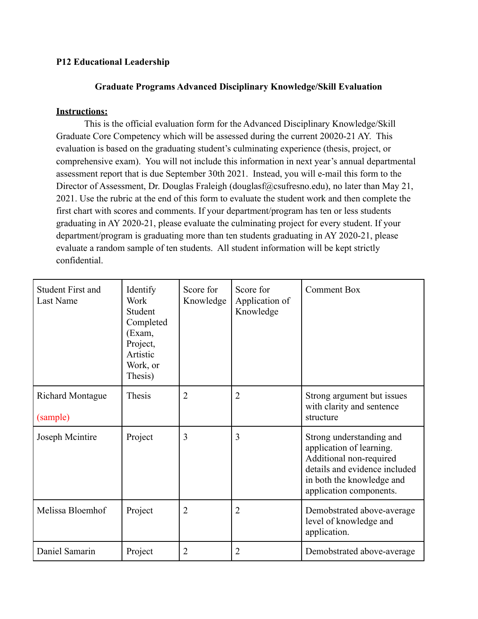## **P12 Educational Leadership**

## **Graduate Programs Advanced Disciplinary Knowledge/Skill Evaluation**

## **Instructions:**

This is the official evaluation form for the Advanced Disciplinary Knowledge/Skill Graduate Core Competency which will be assessed during the current 20020-21 AY. This evaluation is based on the graduating student's culminating experience (thesis, project, or comprehensive exam). You will not include this information in next year's annual departmental assessment report that is due September 30th 2021. Instead, you will e-mail this form to the Director of Assessment, Dr. Douglas Fraleigh (douglasf@csufresno.edu), no later than May 21, 2021. Use the rubric at the end of this form to evaluate the student work and then complete the first chart with scores and comments. If your department/program has ten or less students graduating in AY 2020-21, please evaluate the culminating project for every student. If your department/program is graduating more than ten students graduating in AY 2020-21, please evaluate a random sample of ten students. All student information will be kept strictly confidential.

| <b>Student First and</b><br>Last Name | Identify<br>Work<br>Student<br>Completed<br>(Exam,<br>Project,<br>Artistic<br>Work, or<br>Thesis) | Score for<br>Knowledge | Score for<br>Application of<br>Knowledge | <b>Comment Box</b>                                                                                                                                                       |
|---------------------------------------|---------------------------------------------------------------------------------------------------|------------------------|------------------------------------------|--------------------------------------------------------------------------------------------------------------------------------------------------------------------------|
| <b>Richard Montague</b><br>(sample)   | Thesis                                                                                            | $\overline{2}$         | $\overline{2}$                           | Strong argument but issues<br>with clarity and sentence<br>structure                                                                                                     |
| Joseph Mcintire                       | Project                                                                                           | 3                      | 3                                        | Strong understanding and<br>application of learning.<br>Additional non-required<br>details and evidence included<br>in both the knowledge and<br>application components. |
| Melissa Bloemhof                      | Project                                                                                           | $\overline{2}$         | $\overline{2}$                           | Demobstrated above-average<br>level of knowledge and<br>application.                                                                                                     |
| Daniel Samarin                        | Project                                                                                           | $\overline{2}$         | 2                                        | Demobstrated above-average                                                                                                                                               |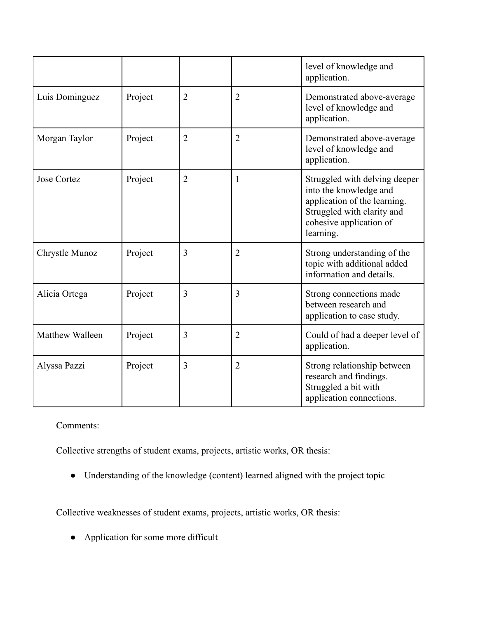|                    |         |                |                | level of knowledge and<br>application.                                                                                                                        |
|--------------------|---------|----------------|----------------|---------------------------------------------------------------------------------------------------------------------------------------------------------------|
| Luis Dominguez     | Project | $\overline{2}$ | $\overline{2}$ | Demonstrated above-average<br>level of knowledge and<br>application.                                                                                          |
| Morgan Taylor      | Project | $\overline{2}$ | $\overline{2}$ | Demonstrated above-average<br>level of knowledge and<br>application.                                                                                          |
| <b>Jose Cortez</b> | Project | $\overline{2}$ | 1              | Struggled with delving deeper<br>into the knowledge and<br>application of the learning.<br>Struggled with clarity and<br>cohesive application of<br>learning. |
| Chrystle Munoz     | Project | 3              | $\overline{2}$ | Strong understanding of the<br>topic with additional added<br>information and details.                                                                        |
| Alicia Ortega      | Project | $\overline{3}$ | 3              | Strong connections made<br>between research and<br>application to case study.                                                                                 |
| Matthew Walleen    | Project | $\overline{3}$ | $\overline{2}$ | Could of had a deeper level of<br>application.                                                                                                                |
| Alyssa Pazzi       | Project | 3              | $\overline{2}$ | Strong relationship between<br>research and findings.<br>Struggled a bit with<br>application connections.                                                     |

Comments:

Collective strengths of student exams, projects, artistic works, OR thesis:

● Understanding of the knowledge (content) learned aligned with the project topic

Collective weaknesses of student exams, projects, artistic works, OR thesis:

● Application for some more difficult